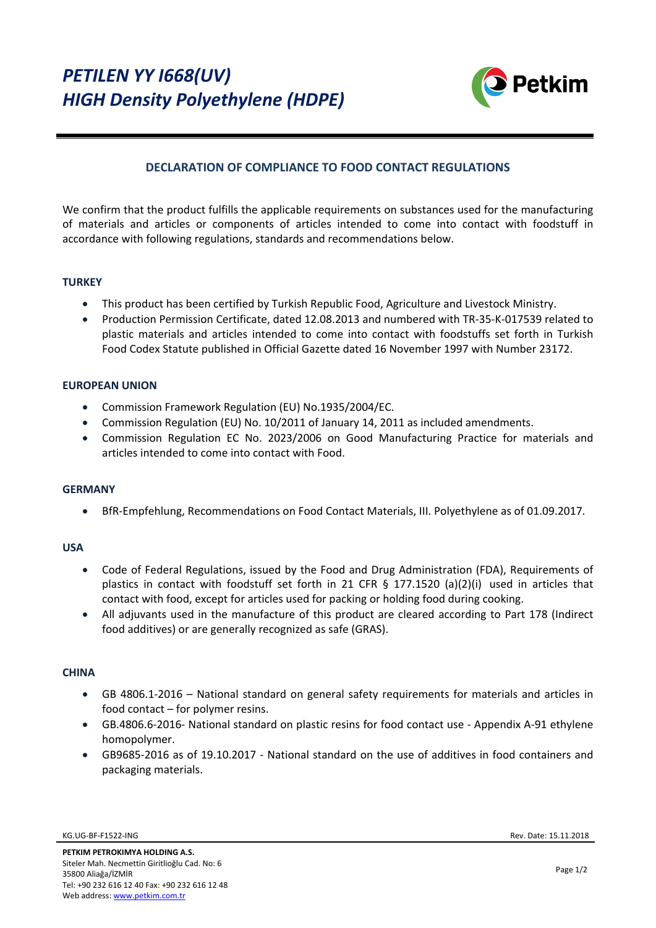

# **DECLARATION OF COMPLIANCE TO FOOD CONTACT REGULATIONS**

We confirm that the product fulfills the applicable requirements on substances used for the manufacturing of materials and articles or components of articles intended to come into contact with foodstuff in accordance with following regulations, standards and recommendations below.

# **TURKEY**

- This product has been certified by Turkish Republic Food, Agriculture and Livestock Ministry.
- Production Permission Certificate, dated 12.08.2013 and numbered with TR-35-K-017539 related to plastic materials and articles intended to come into contact with foodstuffs set forth in Turkish Food Codex Statute published in Official Gazette dated 16 November 1997 with Number 23172.

#### **EUROPEAN UNION**

- Commission Framework Regulation (EU) No.1935/2004/EC.
- Commission Regulation (EU) No. 10/2011 of January 14, 2011 as included amendments.
- Commission Regulation EC No. 2023/2006 on Good Manufacturing Practice for materials and articles intended to come into contact with Food.

# **GERMANY**

BfR-Empfehlung, Recommendations on Food Contact Materials, III. Polyethylene as of 01.09.2017.

#### **USA**

- Code of Federal Regulations, issued by the Food and Drug Administration (FDA), Requirements of plastics in contact with foodstuff set forth in 21 CFR § 177.1520 (a)(2)(i) used in articles that contact with food, except for articles used for packing or holding food during cooking.
- All adjuvants used in the manufacture of this product are cleared according to Part 178 (Indirect food additives) or are generally recognized as safe (GRAS).

#### **CHINA**

- GB 4806.1-2016 National standard on general safety requirements for materials and articles in food contact – for polymer resins.
- GB.4806.6-2016- National standard on plastic resins for food contact use Appendix A-91 ethylene homopolymer.
- GB9685-2016 as of 19.10.2017 National standard on the use of additives in food containers and packaging materials.

KG.UG-BF-F1522-ING [Rev.](https://srvqdmsv5/kalite/QDMSNET/Document/DokumanGoruntuleme.aspx?ROWINDEX=0&PAGEINDEX=0&kod=UR.10-BF-U1021&revNo=0&Criteria=lgTnTxmwatmmBO8s5jRMAeAJAPMWPvDXUXdFgH%C3%9F%C3%9F%C3%9FwnRdlEMVOdRYwlddInogQyJqZhuYZEfCT3EPjgGhowntbq%C3%9F%C3%9F%C3%9FTLunUbfzGYk870QKduKXUddFkhdT4qYPnnr012j4eAr8oEPV0idjI5D9cj2W9neNxfKOq81fzF0CWSaipRX20vZfO$$$TImCx57DZn%C3%9F%C3%9F%C3%9FGyYiHCAFPEP$$$H5ffky7p1G38xmJPO9ECnbil1EciTjQLSDjiG5hkR8JPcQ7dgvr4OtnTL) Date: 15.11.2018